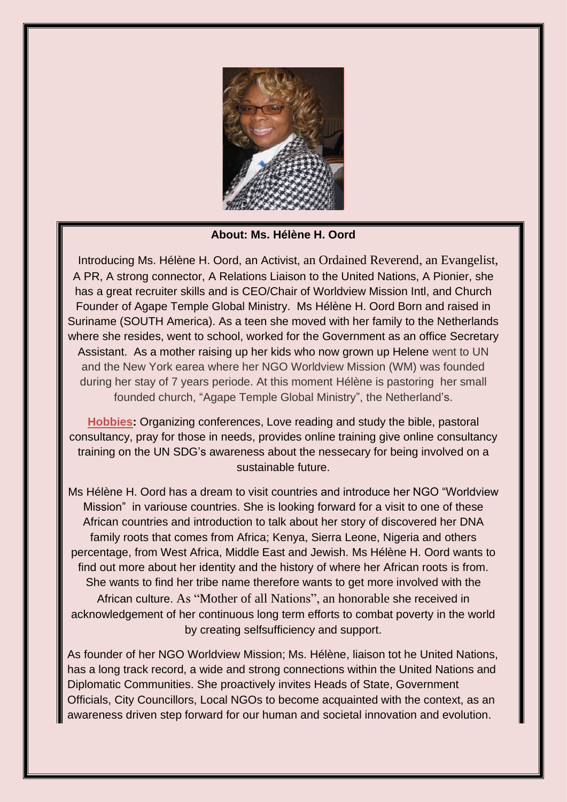

**About: Ms. Hélène H. Oord**

 Introducing Ms. Hélène H. Oord, an Activist, an Ordained Reverend, an Evangelist, A PR, A strong connector, A Relations Liaison to the United Nations, A Pionier, she has a great recruiter skills and is CEO/Chair of Worldview Mission Intl, and Church Founder of Agape Temple Global Ministry. Ms Hélène H. Oord Born and raised in Suriname (SOUTH America). As a teen she moved with her family to the Netherlands where she resides, went to school, worked for the Government as an office Secretary Assistant. As a mother raising up her kids who now grown up Helene went to UN and the New York earea where her NGO Worldview Mission (WM) was founded during her stay of 7 years periode. At this moment Hélène is pastoring her small founded church, "Agape Temple Global Ministry", the Netherland's.

**Hobbies:** Organizing conferences, Love reading and study the bible, pastoral consultancy, pray for those in needs, provides online training give online consultancy training on the UN SDG's awareness about the nessecary for being involved on a sustainable future.

Ms Hélène H. Oord has a dream to visit countries and introduce her NGO "Worldview Mission" in variouse countries. She is looking forward for a visit to one of these African countries and introduction to talk about her story of discovered her DNA family roots that comes from Africa; Kenya, Sierra Leone, Nigeria and others percentage, from West Africa, Middle East and Jewish. Ms Hélène H. Oord wants to find out more about her identity and the history of where her African roots is from. She wants to find her tribe name therefore wants to get more involved with the African culture. As "Mother of all Nations", an honorable she received in acknowledgement of her continuous long term efforts to combat poverty in the world by creating selfsufficiency and support.

As founder of her NGO Worldview Mission; Ms. Hélène, liaison tot he United Nations, has a long track record, a wide and strong connections within the United Nations and Diplomatic Communities. She proactively invites Heads of State, Government Officials, City Councillors, Local NGOs to become acquainted with the context, as an awareness driven step forward for our human and societal innovation and evolution.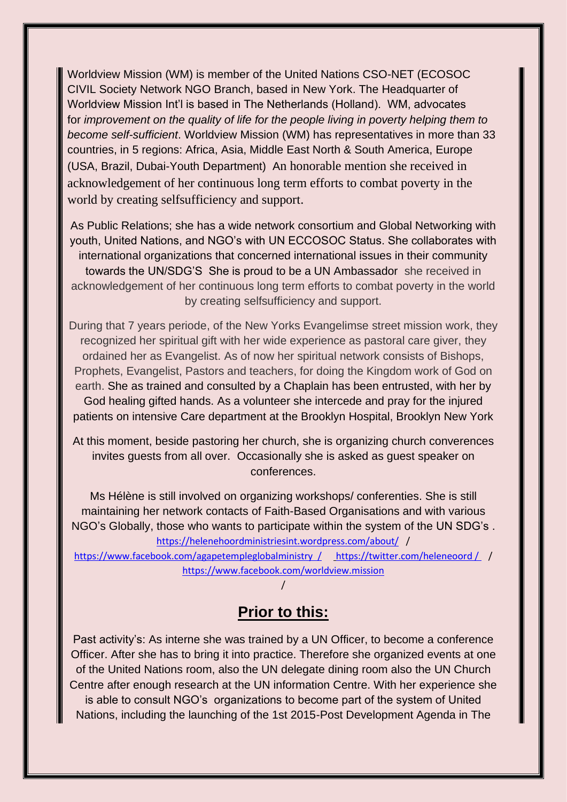Worldview Mission (WM) is member of the United Nations CSO-NET (ECOSOC CIVIL Society Network NGO Branch, based in New York. The Headquarter of Worldview Mission Int'l is based in The Netherlands (Holland). WM, advocates for *improvement on the quality of life for the people living in poverty helping them to become self-sufficient*. Worldview Mission (WM) has representatives in more than 33 countries, in 5 regions: Africa, Asia, Middle East North & South America, Europe (USA, Brazil, Dubai-Youth Department) An honorable mention she received in acknowledgement of her continuous long term efforts to combat poverty in the world by creating selfsufficiency and support.

As Public Relations; she has a wide network consortium and Global Networking with youth, United Nations, and NGO's with UN ECCOSOC Status. She collaborates with international organizations that concerned international issues in their community towards the UN/SDG'S She is proud to be a UN Ambassador she received in acknowledgement of her continuous long term efforts to combat poverty in the world by creating selfsufficiency and support.

During that 7 years periode, of the New Yorks Evangelimse street mission work, they recognized her spiritual gift with her wide experience as pastoral care giver, they ordained her as Evangelist. As of now her spiritual network consists of Bishops, Prophets, Evangelist, Pastors and teachers, for doing the Kingdom work of God on earth. She as trained and consulted by a Chaplain has been entrusted, with her by God healing gifted hands. As a volunteer she intercede and pray for the injured patients on intensive Care department at the Brooklyn Hospital, Brooklyn New York

At this moment, beside pastoring her church, she is organizing church converences invites guests from all over. Occasionally she is asked as guest speaker on conferences.

Ms Hélène is still involved on organizing workshops/ conferenties. She is still maintaining her network contacts of Faith-Based Organisations and with various NGO's Globally, those who wants to participate within the system of the UN SDG's . <https://helenehoordministriesint.wordpress.com/about/>/

<https://www.facebook.com/agapetempleglobalministry>/ [https://twitter.com/heleneoord /](https://twitter.com/heleneoord%20/%20/) / <https://www.facebook.com/worldview.mission>

/

## **Prior to this:**

Past activity's: As interne she was trained by a UN Officer, to become a conference Officer. After she has to bring it into practice. Therefore she organized events at one of the United Nations room, also the UN delegate dining room also the UN Church Centre after enough research at the UN information Centre. With her experience she is able to consult NGO's organizations to become part of the system of United Nations, including the launching of the 1st 2015-Post Development Agenda in The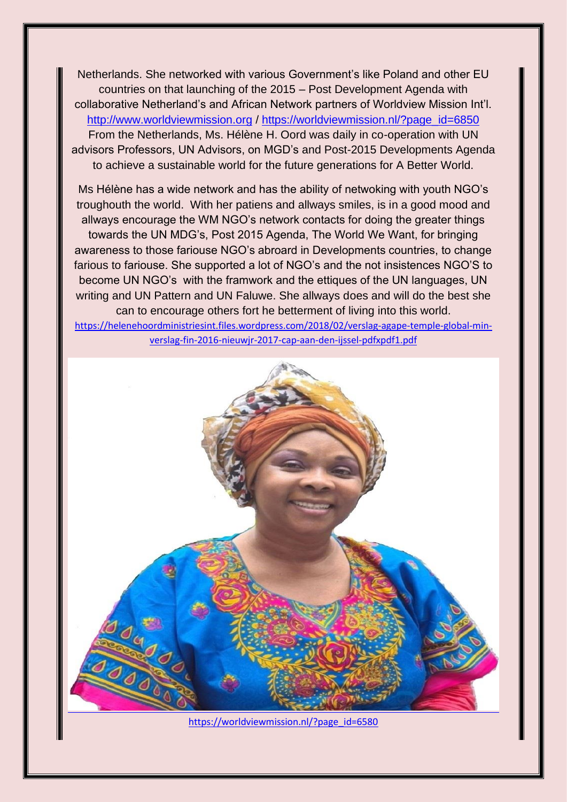Netherlands. She networked with various Government's like Poland and other EU countries on that launching of the 2015 – Post Development Agenda with collaborative Netherland's and African Network partners of Worldview Mission Int'l. [http://www.worldviewmission.org](http://www.worldviewmission.org/) / [https://worldviewmission.nl/?page\\_id=6850](https://worldviewmission.nl/?page_id=6850) From the Netherlands, Ms. Hélène H. Oord was daily in co-operation with UN advisors Professors, UN Advisors, on MGD's and Post-2015 Developments Agenda to achieve a sustainable world for the future generations for A Better World.

Ms Hélène has a wide network and has the ability of netwoking with youth NGO's troughouth the world. With her patiens and allways smiles, is in a good mood and allways encourage the WM NGO's network contacts for doing the greater things towards the UN MDG's, Post 2015 Agenda, The World We Want, for bringing awareness to those fariouse NGO's abroard in Developments countries, to change farious to fariouse. She supported a lot of NGO's and the not insistences NGO'S to become UN NGO's with the framwork and the ettiques of the UN languages, UN writing and UN Pattern and UN Faluwe. She allways does and will do the best she can to encourage others fort he betterment of living into this world.

[https://helenehoordministriesint.files.wordpress.com/2018/02/verslag-agape-temple-global-min](https://helenehoordministriesint.files.wordpress.com/2018/02/verslag-agape-temple-global-min-verslag-fin-2016-nieuwjr-2017-cap-aan-den-ijssel-pdfxpdf1.pdf)[verslag-fin-2016-nieuwjr-2017-cap-aan-den-ijssel-pdfxpdf1.pdf](https://helenehoordministriesint.files.wordpress.com/2018/02/verslag-agape-temple-global-min-verslag-fin-2016-nieuwjr-2017-cap-aan-den-ijssel-pdfxpdf1.pdf)



https://worldviewmission.nl/?page\_id=6580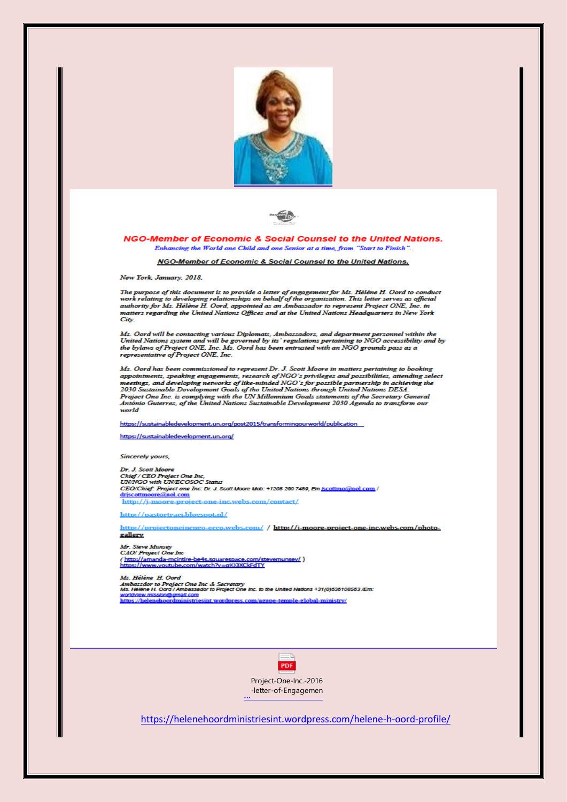



## NGO-Member of Economic & Social Counsel to the United Nations. Enhancing the World one Child and one Senior at a time, from "Start to Finish".

NGO-Member of Economic & Social Counsel to the United Nations.

New York, January, 2018,

The purpose of this document is to provide a letter of engagement for Ms. Hélène H. Oord to conduct<br>work relating to developing relationships on behalf of the organization. This letter serves as official<br>authority for Ms. City.

Ms. Oord will be contacting various Diplomats, Ambassadors, and department personnel within the<br>United Nations system and will be governed by its' regulations pertaining to NGO accessibility and by<br>the bylaws of Project ON representative of Project ONE, Inc.

Ms. Oord has been commissioned to represent Dr. J. Scott Moore in matters pertaining to booking<br>appointments, speaking engagements, research of NGO's privileges and possibilities, attending select<br>meetings, and developing world

https://sustainabledevelopment.un.org/post2015/transformingourworld/publication

https://sustainabledevelopment.un.org/

**Sincerely yours,** 

Dr. J. Scott Moore Chief / CEO Project One Inc,<br>UN/NGO with UN/ECOSOC Status CEO/Chief: Project one Inc: Dr. J. Scott Moore Mob: +1205 200 7489, Em **Scottmo@aol.com** / *<u>aaol.com</u>* drjscotti http://i-moore-project-one-inc.webs.com/contact/

http://pastortraci.blogspot.nl/

http://projectoneincngo-ecco.webs.com/ / http://i-moore-project-one-inc.webs.com/photogallery

Mr. Steve Munsey<br>C.40/ Prajact One Inc<br>( http://amanda-mcintire-be4s.squarespace.com/st<br>https://www.voutube.com/watch?v=giO3XCkFdTY stevemunsev/)

Ms. Hélène H. Oord Ambassdor to Project One Inc & Secretary<br>Ms. Helene H. Oord / Ambassador to Project One Inc. to the United Nations +31(0)636108563/Em:<br>worldview.mission@gmail.com



https://helenehoordministriesint.wordpress.com/helene-h-oord-profile/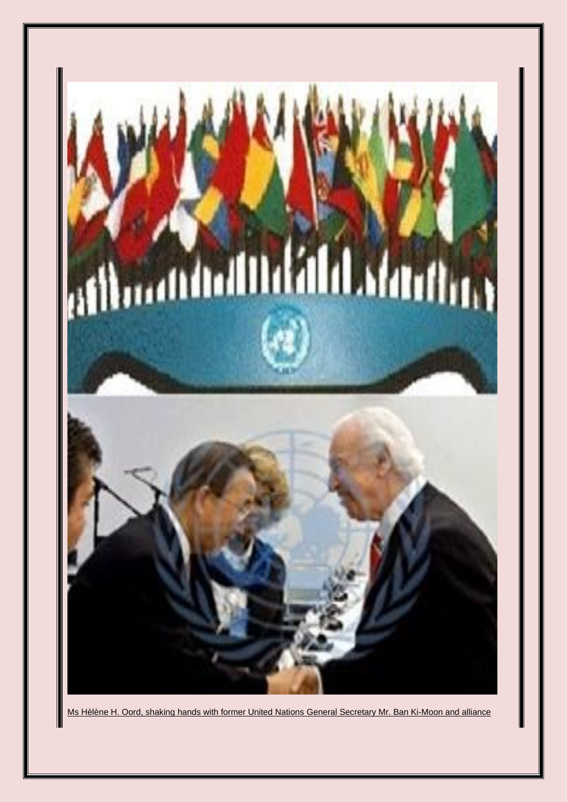

Ms Hèlène H. Oord, shaking hands with former United Nations General Secretary Mr. Ban Ki-Moon and alliance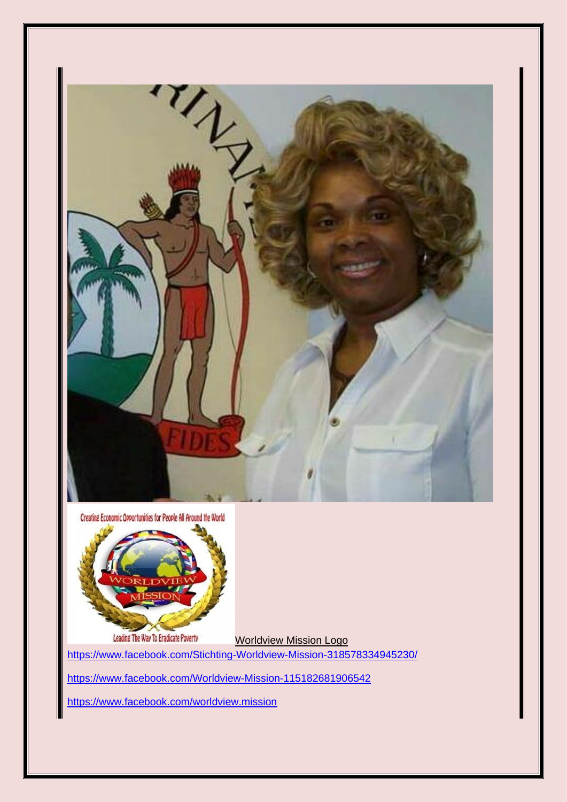

Creating Economic Opportunities for People All Around the World



Worldview Mission Logo <https://www.facebook.com/Stichting-Worldview-Mission-318578334945230/>

<https://www.facebook.com/Worldview-Mission-115182681906542>

<https://www.facebook.com/worldview.mission>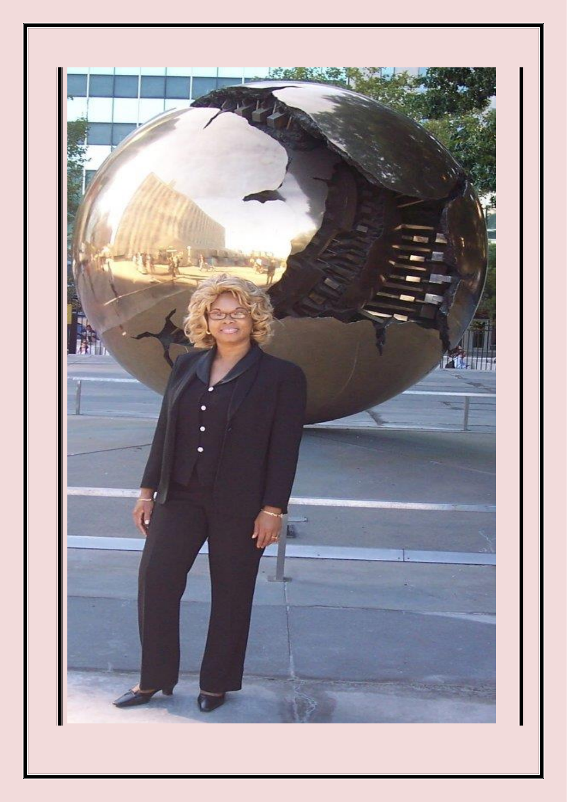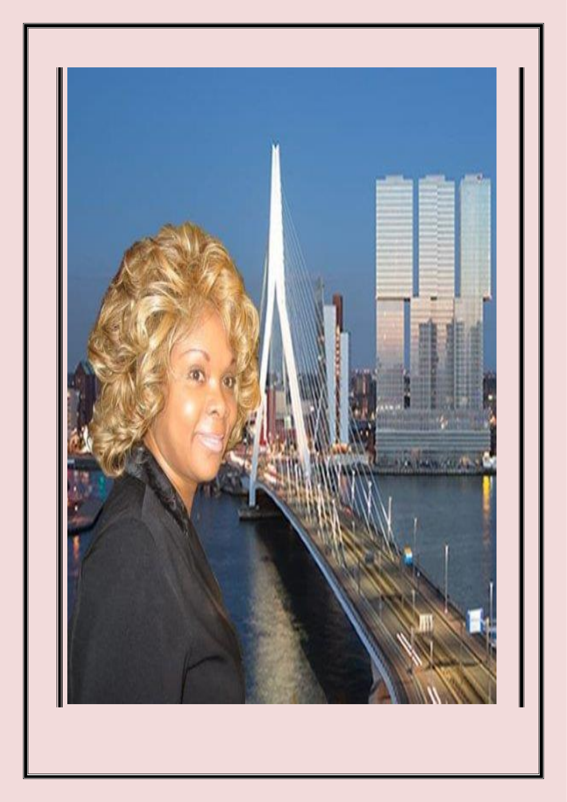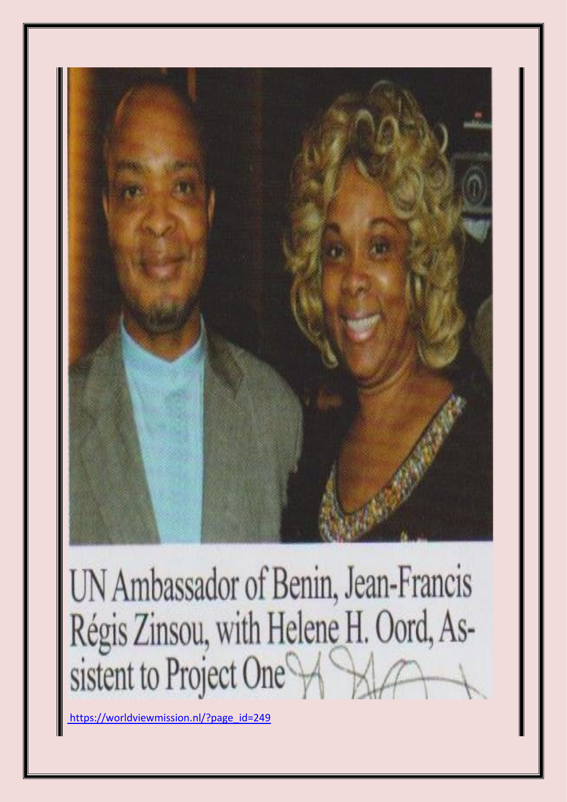

## UN Ambassador of Benin, Jean-Francis Régis Zinsou, with Helene H. Oord, Assistent to Project One

https://worldviewmission.nl/?page\_id=249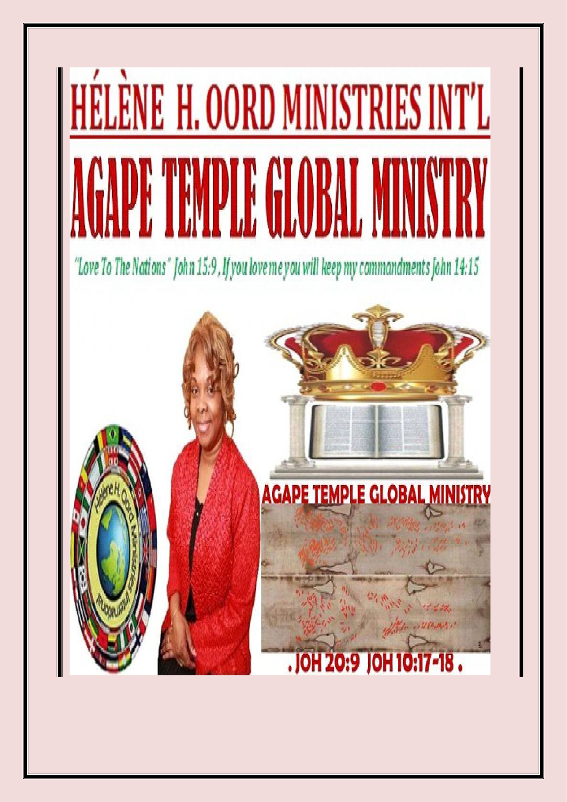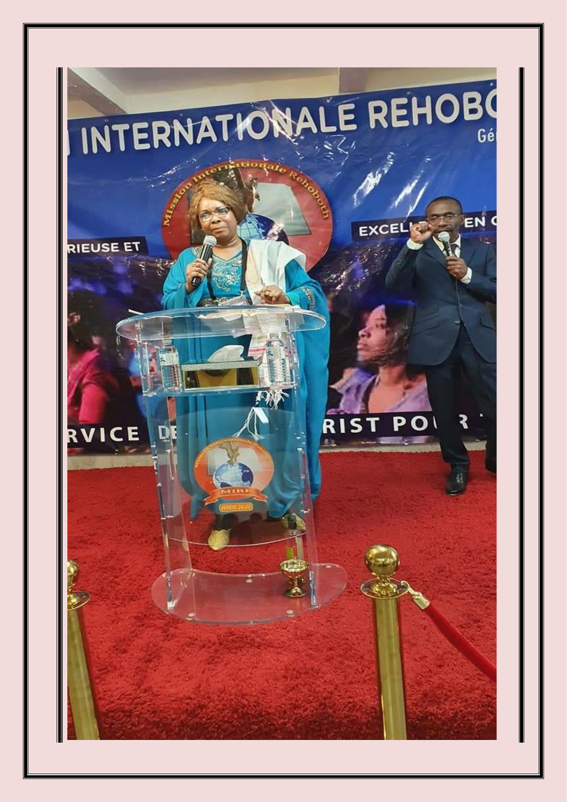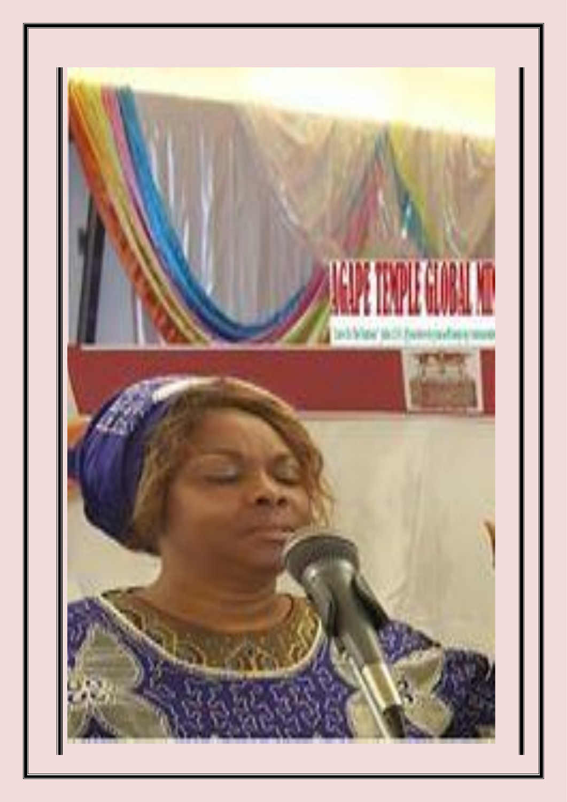